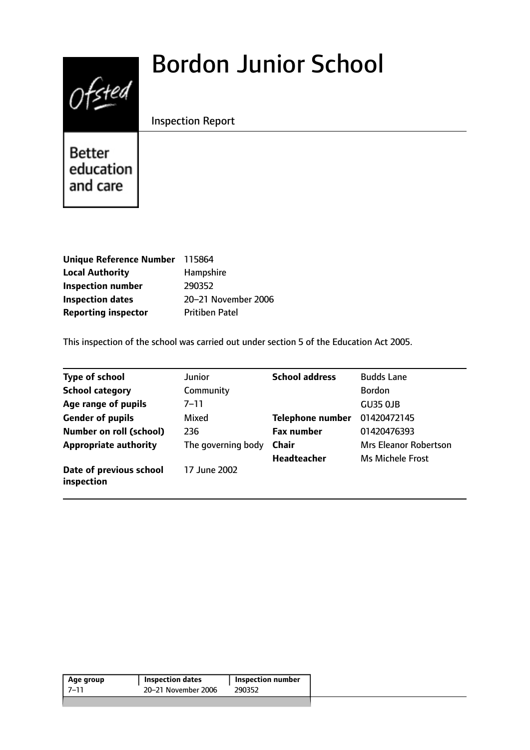# $0$ fsted

# Bordon Junior School

# Inspection Report

Better education and care

| Unique Reference Number 115864 |                       |
|--------------------------------|-----------------------|
| <b>Local Authority</b>         | Hampshire             |
| <b>Inspection number</b>       | 290352                |
| <b>Inspection dates</b>        | 20-21 November 2006   |
| <b>Reporting inspector</b>     | <b>Pritiben Patel</b> |

This inspection of the school was carried out under section 5 of the Education Act 2005.

| <b>Type of school</b>                 | Junior             | <b>School address</b>   | <b>Budds Lane</b>            |
|---------------------------------------|--------------------|-------------------------|------------------------------|
| <b>School category</b>                | Community          |                         | <b>Bordon</b>                |
| Age range of pupils                   | $7 - 11$           |                         | GU35 OJB                     |
| <b>Gender of pupils</b>               | Mixed              | <b>Telephone number</b> | 01420472145                  |
| <b>Number on roll (school)</b>        | 236                | <b>Fax number</b>       | 01420476393                  |
| <b>Appropriate authority</b>          | The governing body | <b>Chair</b>            | <b>Mrs Eleanor Robertson</b> |
|                                       |                    | <b>Headteacher</b>      | Ms Michele Frost             |
| Date of previous school<br>inspection | 17 June 2002       |                         |                              |

| 20–21 November 2006<br>7–11<br>290352 | Age group | <b>Inspection dates</b> | Inspection number |
|---------------------------------------|-----------|-------------------------|-------------------|
|                                       |           |                         |                   |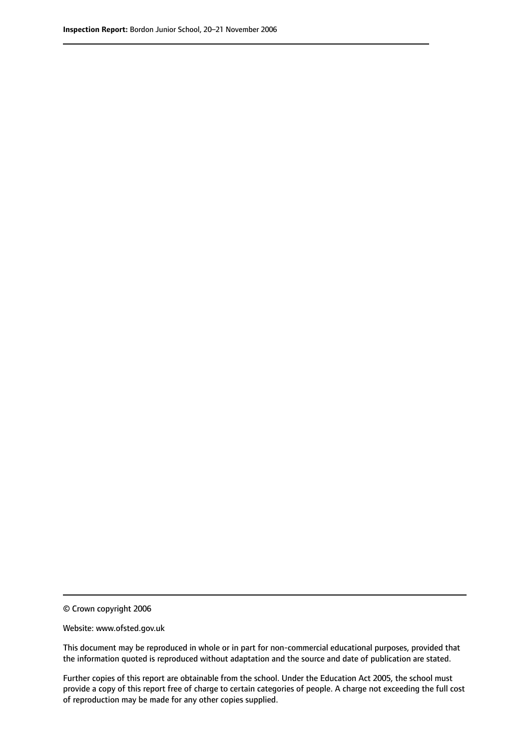© Crown copyright 2006

Website: www.ofsted.gov.uk

This document may be reproduced in whole or in part for non-commercial educational purposes, provided that the information quoted is reproduced without adaptation and the source and date of publication are stated.

Further copies of this report are obtainable from the school. Under the Education Act 2005, the school must provide a copy of this report free of charge to certain categories of people. A charge not exceeding the full cost of reproduction may be made for any other copies supplied.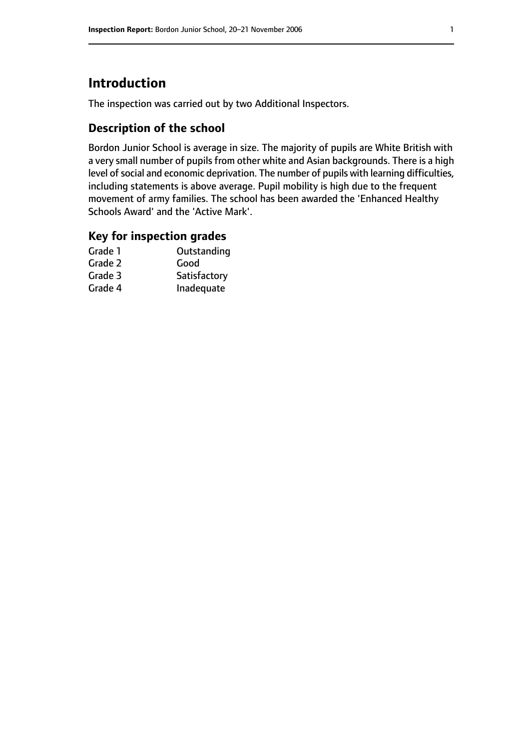# **Introduction**

The inspection was carried out by two Additional Inspectors.

## **Description of the school**

Bordon Junior School is average in size. The majority of pupils are White British with a very small number of pupils from other white and Asian backgrounds. There is a high level of social and economic deprivation. The number of pupils with learning difficulties, including statements is above average. Pupil mobility is high due to the frequent movement of army families. The school has been awarded the 'Enhanced Healthy Schools Award' and the 'Active Mark'.

#### **Key for inspection grades**

| Outstanding  |
|--------------|
| Good         |
| Satisfactory |
| Inadequate   |
|              |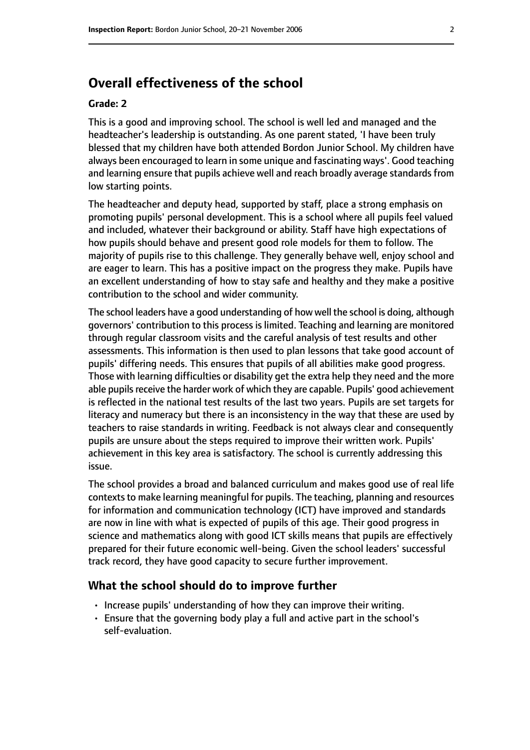# **Overall effectiveness of the school**

#### **Grade: 2**

This is a good and improving school. The school is well led and managed and the headteacher's leadership is outstanding. As one parent stated, 'I have been truly blessed that my children have both attended Bordon Junior School. My children have always been encouraged to learn in some unique and fascinating ways'. Good teaching and learning ensure that pupils achieve well and reach broadly average standards from low starting points.

The headteacher and deputy head, supported by staff, place a strong emphasis on promoting pupils' personal development. This is a school where all pupils feel valued and included, whatever their background or ability. Staff have high expectations of how pupils should behave and present good role models for them to follow. The majority of pupils rise to this challenge. They generally behave well, enjoy school and are eager to learn. This has a positive impact on the progress they make. Pupils have an excellent understanding of how to stay safe and healthy and they make a positive contribution to the school and wider community.

The school leaders have a good understanding of how well the school is doing, although governors' contribution to this process is limited. Teaching and learning are monitored through regular classroom visits and the careful analysis of test results and other assessments. This information is then used to plan lessons that take good account of pupils' differing needs. This ensures that pupils of all abilities make good progress. Those with learning difficulties or disability get the extra help they need and the more able pupils receive the harder work of which they are capable. Pupils' good achievement is reflected in the national test results of the last two years. Pupils are set targets for literacy and numeracy but there is an inconsistency in the way that these are used by teachers to raise standards in writing. Feedback is not always clear and consequently pupils are unsure about the steps required to improve their written work. Pupils' achievement in this key area is satisfactory. The school is currently addressing this issue.

The school provides a broad and balanced curriculum and makes good use of real life contexts to make learning meaningful for pupils. The teaching, planning and resources for information and communication technology (ICT) have improved and standards are now in line with what is expected of pupils of this age. Their good progress in science and mathematics along with good ICT skills means that pupils are effectively prepared for their future economic well-being. Given the school leaders' successful track record, they have good capacity to secure further improvement.

#### **What the school should do to improve further**

- Increase pupils' understanding of how they can improve their writing.
- Ensure that the governing body play a full and active part in the school's self-evaluation.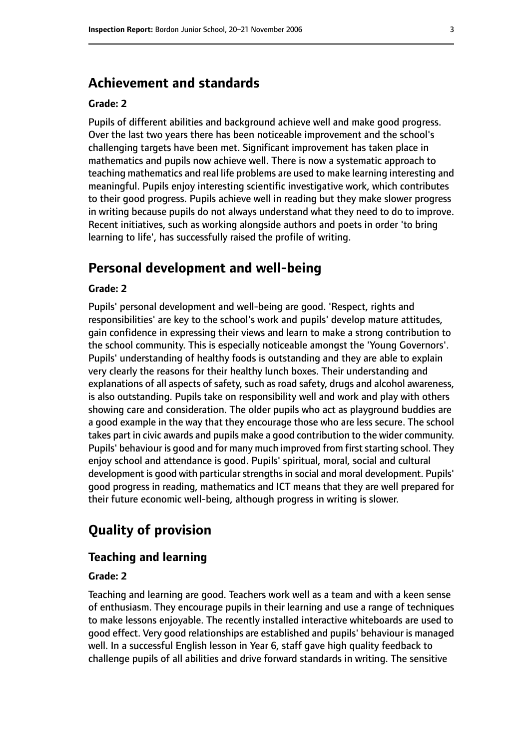# **Achievement and standards**

#### **Grade: 2**

Pupils of different abilities and background achieve well and make good progress. Over the last two years there has been noticeable improvement and the school's challenging targets have been met. Significant improvement has taken place in mathematics and pupils now achieve well. There is now a systematic approach to teaching mathematics and real life problems are used to make learning interesting and meaningful. Pupils enjoy interesting scientific investigative work, which contributes to their good progress. Pupils achieve well in reading but they make slower progress in writing because pupils do not always understand what they need to do to improve. Recent initiatives, such as working alongside authors and poets in order 'to bring learning to life', has successfully raised the profile of writing.

# **Personal development and well-being**

#### **Grade: 2**

Pupils' personal development and well-being are good. 'Respect, rights and responsibilities' are key to the school's work and pupils' develop mature attitudes, gain confidence in expressing their views and learn to make a strong contribution to the school community. This is especially noticeable amongst the 'Young Governors'. Pupils' understanding of healthy foods is outstanding and they are able to explain very clearly the reasons for their healthy lunch boxes. Their understanding and explanations of all aspects of safety, such as road safety, drugs and alcohol awareness, is also outstanding. Pupils take on responsibility well and work and play with others showing care and consideration. The older pupils who act as playground buddies are a good example in the way that they encourage those who are less secure. The school takes part in civic awards and pupils make a good contribution to the wider community. Pupils' behaviour is good and for many much improved from first starting school. They enjoy school and attendance is good. Pupils' spiritual, moral, social and cultural development is good with particular strengths in social and moral development. Pupils' good progress in reading, mathematics and ICT means that they are well prepared for their future economic well-being, although progress in writing is slower.

# **Quality of provision**

#### **Teaching and learning**

#### **Grade: 2**

Teaching and learning are good. Teachers work well as a team and with a keen sense of enthusiasm. They encourage pupils in their learning and use a range of techniques to make lessons enjoyable. The recently installed interactive whiteboards are used to good effect. Very good relationships are established and pupils' behaviour is managed well. In a successful English lesson in Year 6, staff gave high quality feedback to challenge pupils of all abilities and drive forward standards in writing. The sensitive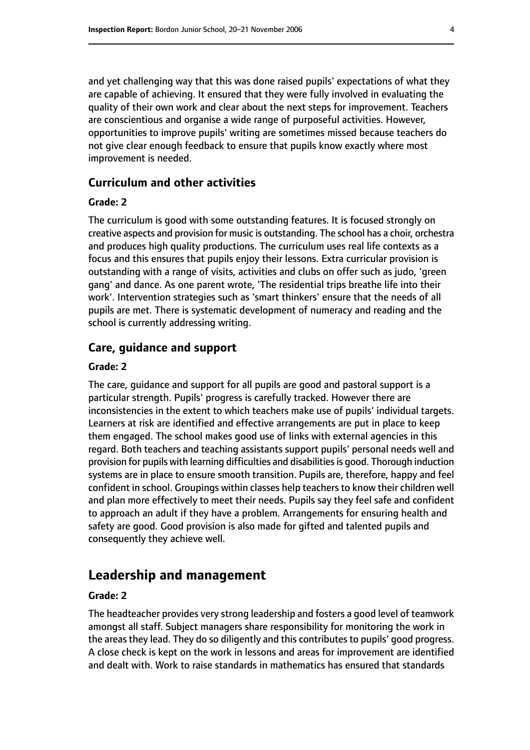and yet challenging way that this was done raised pupils' expectations of what they are capable of achieving. It ensured that they were fully involved in evaluating the quality of their own work and clear about the next steps for improvement. Teachers are conscientious and organise a wide range of purposeful activities. However, opportunities to improve pupils' writing are sometimes missed because teachers do not give clear enough feedback to ensure that pupils know exactly where most improvement is needed.

#### **Curriculum and other activities**

#### **Grade: 2**

The curriculum is good with some outstanding features. It is focused strongly on creative aspects and provision for music is outstanding. The school has a choir, orchestra and produces high quality productions. The curriculum uses real life contexts as a focus and this ensures that pupils enjoy their lessons. Extra curricular provision is outstanding with a range of visits, activities and clubs on offer such as judo, 'green gang' and dance. As one parent wrote, 'The residential trips breathe life into their work'. Intervention strategies such as 'smart thinkers' ensure that the needs of all pupils are met. There is systematic development of numeracy and reading and the school is currently addressing writing.

#### **Care, guidance and support**

#### **Grade: 2**

The care, guidance and support for all pupils are good and pastoral support is a particular strength. Pupils' progress is carefully tracked. However there are inconsistencies in the extent to which teachers make use of pupils' individual targets. Learners at risk are identified and effective arrangements are put in place to keep them engaged. The school makes good use of links with external agencies in this regard. Both teachers and teaching assistants support pupils' personal needs well and provision for pupils with learning difficulties and disabilities is good. Thorough induction systems are in place to ensure smooth transition. Pupils are, therefore, happy and feel confident in school. Groupings within classes help teachers to know their children well and plan more effectively to meet their needs. Pupils say they feel safe and confident to approach an adult if they have a problem. Arrangements for ensuring health and safety are good. Good provision is also made for gifted and talented pupils and consequently they achieve well.

# **Leadership and management**

#### **Grade: 2**

The headteacher provides very strong leadership and fosters a good level of teamwork amongst all staff. Subject managers share responsibility for monitoring the work in the areas they lead. They do so diligently and this contributes to pupils' good progress. A close check is kept on the work in lessons and areas for improvement are identified and dealt with. Work to raise standards in mathematics has ensured that standards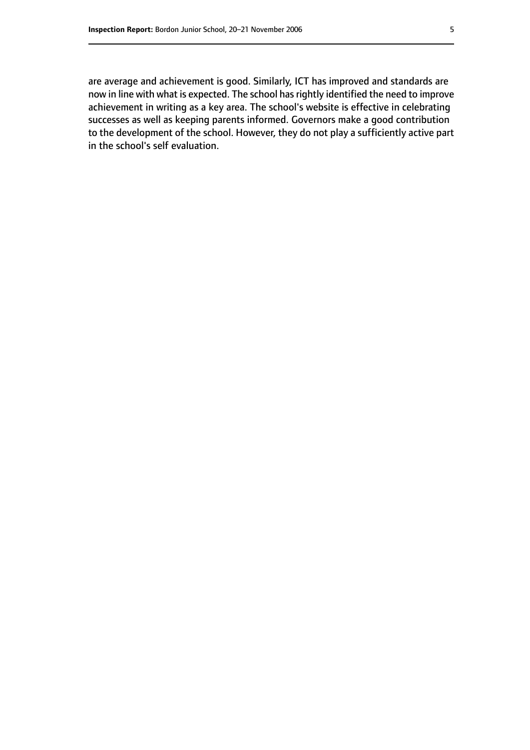are average and achievement is good. Similarly, ICT has improved and standards are now in line with what is expected. The school has rightly identified the need to improve achievement in writing as a key area. The school's website is effective in celebrating successes as well as keeping parents informed. Governors make a good contribution to the development of the school. However, they do not play a sufficiently active part in the school's self evaluation.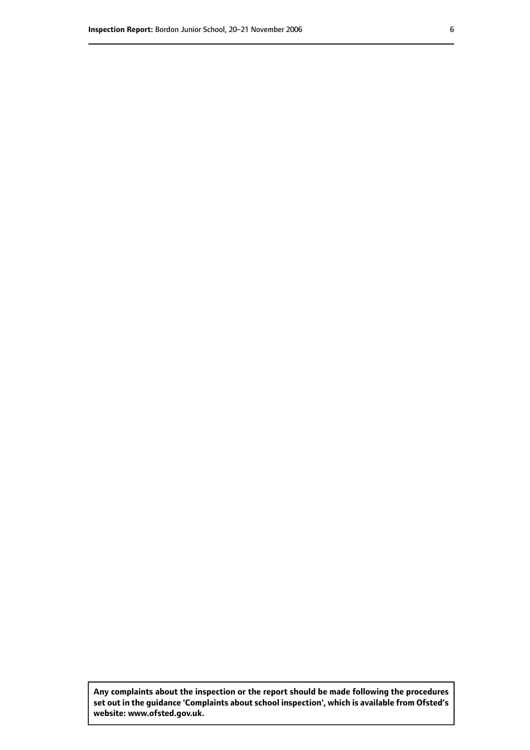**Any complaints about the inspection or the report should be made following the procedures set out inthe guidance 'Complaints about school inspection', whichis available from Ofsted's website: www.ofsted.gov.uk.**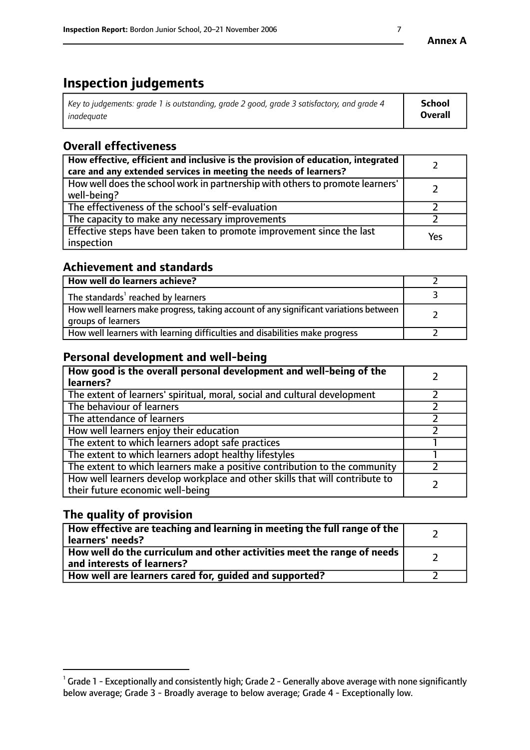# **Inspection judgements**

| $^{\circ}$ Key to judgements: grade 1 is outstanding, grade 2 good, grade 3 satisfactory, and grade 4 $^{\circ}$ | School         |
|------------------------------------------------------------------------------------------------------------------|----------------|
| inadequate                                                                                                       | <b>Overall</b> |

# **Overall effectiveness**

| How effective, efficient and inclusive is the provision of education, integrated<br>care and any extended services in meeting the needs of learners? |     |
|------------------------------------------------------------------------------------------------------------------------------------------------------|-----|
| How well does the school work in partnership with others to promote learners'<br>well-being?                                                         |     |
| The effectiveness of the school's self-evaluation                                                                                                    |     |
| The capacity to make any necessary improvements                                                                                                      |     |
| Effective steps have been taken to promote improvement since the last<br>inspection                                                                  | Yes |

## **Achievement and standards**

| How well do learners achieve?                                                                               |  |
|-------------------------------------------------------------------------------------------------------------|--|
| The standards <sup>1</sup> reached by learners                                                              |  |
| How well learners make progress, taking account of any significant variations between<br>groups of learners |  |
| How well learners with learning difficulties and disabilities make progress                                 |  |

# **Personal development and well-being**

| How good is the overall personal development and well-being of the<br>learners?                                  |  |
|------------------------------------------------------------------------------------------------------------------|--|
| The extent of learners' spiritual, moral, social and cultural development                                        |  |
| The behaviour of learners                                                                                        |  |
| The attendance of learners                                                                                       |  |
| How well learners enjoy their education                                                                          |  |
| The extent to which learners adopt safe practices                                                                |  |
| The extent to which learners adopt healthy lifestyles                                                            |  |
| The extent to which learners make a positive contribution to the community                                       |  |
| How well learners develop workplace and other skills that will contribute to<br>their future economic well-being |  |

# **The quality of provision**

| How effective are teaching and learning in meeting the full range of the<br>learners' needs?                        |  |
|---------------------------------------------------------------------------------------------------------------------|--|
| $\mid$ How well do the curriculum and other activities meet the range of needs $\mid$<br>and interests of learners? |  |
| How well are learners cared for, guided and supported?                                                              |  |

 $^1$  Grade 1 - Exceptionally and consistently high; Grade 2 - Generally above average with none significantly below average; Grade 3 - Broadly average to below average; Grade 4 - Exceptionally low.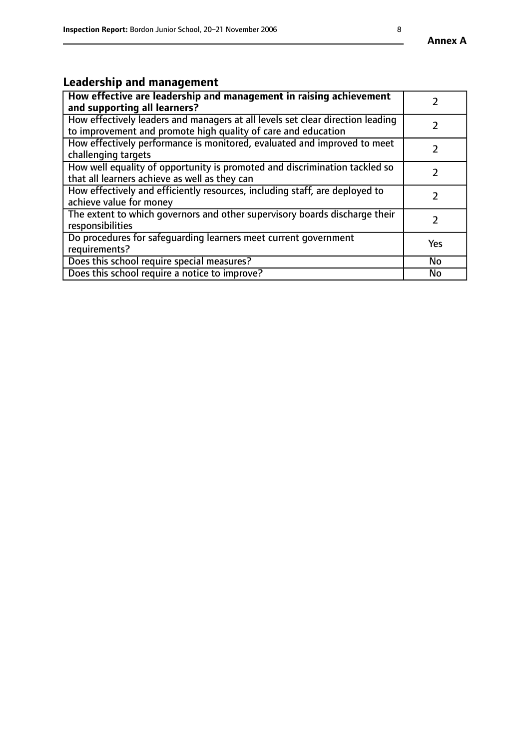# **Leadership and management**

| How effective are leadership and management in raising achievement<br>and supporting all learners?                                              |           |
|-------------------------------------------------------------------------------------------------------------------------------------------------|-----------|
| How effectively leaders and managers at all levels set clear direction leading<br>to improvement and promote high quality of care and education |           |
| How effectively performance is monitored, evaluated and improved to meet<br>challenging targets                                                 |           |
| How well equality of opportunity is promoted and discrimination tackled so<br>that all learners achieve as well as they can                     |           |
| How effectively and efficiently resources, including staff, are deployed to<br>achieve value for money                                          |           |
| The extent to which governors and other supervisory boards discharge their<br>responsibilities                                                  |           |
| Do procedures for safequarding learners meet current government<br>requirements?                                                                | Yes       |
| Does this school require special measures?                                                                                                      | <b>No</b> |
| Does this school require a notice to improve?                                                                                                   | No        |